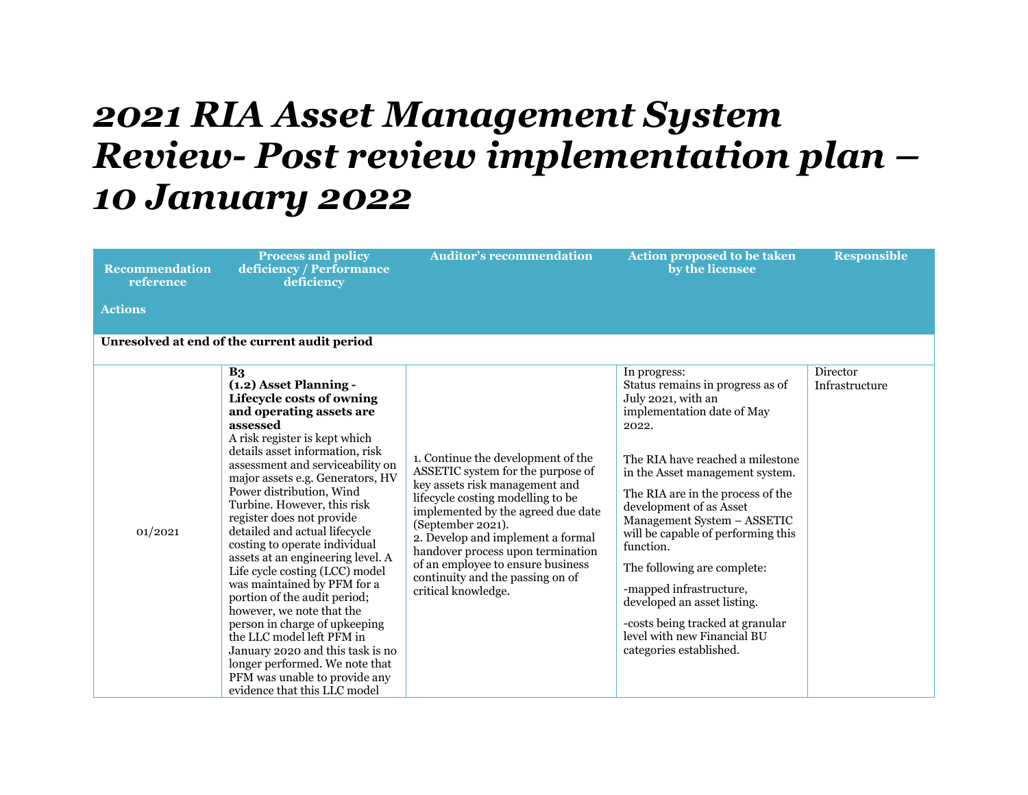## *2021 RIA Asset Management System Review- Post review implementation plan – 10 January 2022*

| <b>Recommendation</b><br>reference | <b>Process and policy</b><br>deficiency / Performance<br>deficiency                                                                                                                                                                                                                                                                                                                                                                                                                                                                                                                                                                                                                                                                                                                         | <b>Auditor's recommendation</b>                                                                                                                                                                                                                                                                                                                                                     | <b>Action proposed to be taken</b><br>by the licensee                                                                                                                                                                                                                                                                                                                                                                                                                                                                         | <b>Responsible</b>         |
|------------------------------------|---------------------------------------------------------------------------------------------------------------------------------------------------------------------------------------------------------------------------------------------------------------------------------------------------------------------------------------------------------------------------------------------------------------------------------------------------------------------------------------------------------------------------------------------------------------------------------------------------------------------------------------------------------------------------------------------------------------------------------------------------------------------------------------------|-------------------------------------------------------------------------------------------------------------------------------------------------------------------------------------------------------------------------------------------------------------------------------------------------------------------------------------------------------------------------------------|-------------------------------------------------------------------------------------------------------------------------------------------------------------------------------------------------------------------------------------------------------------------------------------------------------------------------------------------------------------------------------------------------------------------------------------------------------------------------------------------------------------------------------|----------------------------|
| <b>Actions</b>                     |                                                                                                                                                                                                                                                                                                                                                                                                                                                                                                                                                                                                                                                                                                                                                                                             |                                                                                                                                                                                                                                                                                                                                                                                     |                                                                                                                                                                                                                                                                                                                                                                                                                                                                                                                               |                            |
|                                    | Unresolved at end of the current audit period                                                                                                                                                                                                                                                                                                                                                                                                                                                                                                                                                                                                                                                                                                                                               |                                                                                                                                                                                                                                                                                                                                                                                     |                                                                                                                                                                                                                                                                                                                                                                                                                                                                                                                               |                            |
| 01/2021                            | B <sub>3</sub><br>(1.2) Asset Planning -<br>Lifecycle costs of owning<br>and operating assets are<br>assessed<br>A risk register is kept which<br>details asset information, risk<br>assessment and serviceability on<br>major assets e.g. Generators, HV<br>Power distribution, Wind<br>Turbine. However, this risk<br>register does not provide<br>detailed and actual lifecycle<br>costing to operate individual<br>assets at an engineering level. A<br>Life cycle costing (LCC) model<br>was maintained by PFM for a<br>portion of the audit period;<br>however, we note that the<br>person in charge of upkeeping<br>the LLC model left PFM in<br>January 2020 and this task is no<br>longer performed. We note that<br>PFM was unable to provide any<br>evidence that this LLC model | 1. Continue the development of the<br>ASSETIC system for the purpose of<br>key assets risk management and<br>lifecycle costing modelling to be<br>implemented by the agreed due date<br>(September 2021).<br>2. Develop and implement a formal<br>handover process upon termination<br>of an employee to ensure business<br>continuity and the passing on of<br>critical knowledge. | In progress:<br>Status remains in progress as of<br>July 2021, with an<br>implementation date of May<br>2022.<br>The RIA have reached a milestone<br>in the Asset management system.<br>The RIA are in the process of the<br>development of as Asset<br>Management System - ASSETIC<br>will be capable of performing this<br>function.<br>The following are complete:<br>-mapped infrastructure,<br>developed an asset listing.<br>-costs being tracked at granular<br>level with new Financial BU<br>categories established. | Director<br>Infrastructure |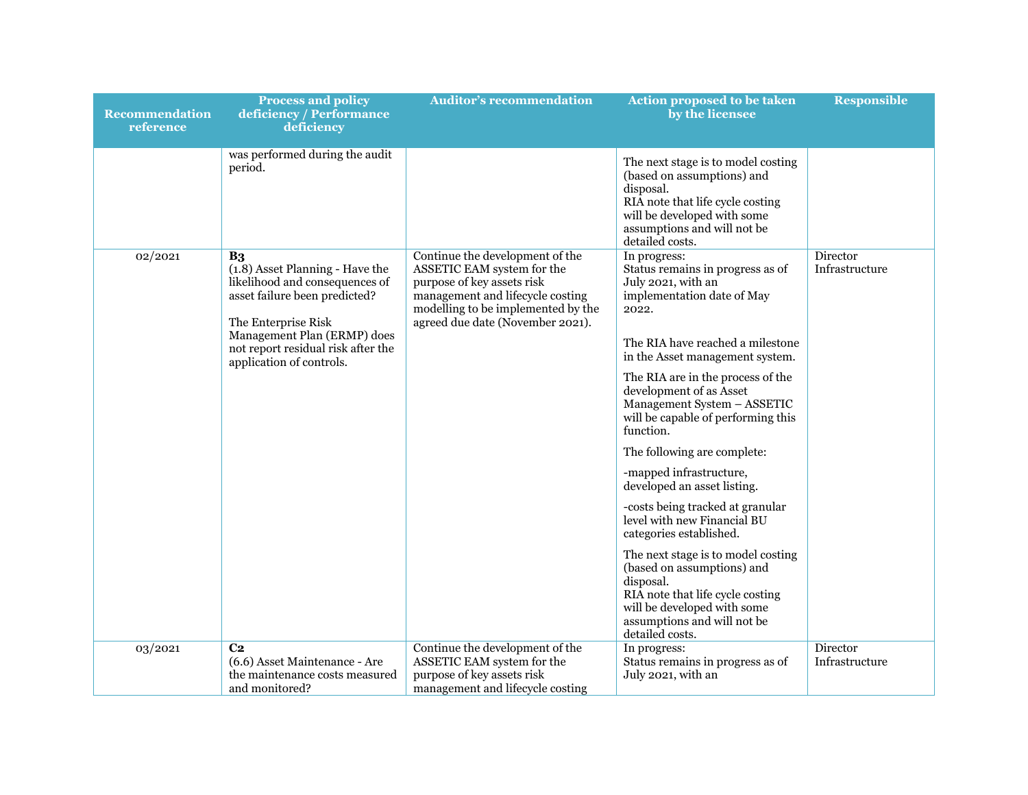| <b>Recommendation</b><br>reference | <b>Process and policy</b><br>deficiency / Performance<br>deficiency                                                                                                                                                                          | <b>Auditor's recommendation</b>                                                                                                                                                                           | Action proposed to be taken<br>by the licensee                                                                                                                                                                                                                                                                                                                                                                                                                                                                                                                                                                                                                                                                                      | <b>Responsible</b>         |
|------------------------------------|----------------------------------------------------------------------------------------------------------------------------------------------------------------------------------------------------------------------------------------------|-----------------------------------------------------------------------------------------------------------------------------------------------------------------------------------------------------------|-------------------------------------------------------------------------------------------------------------------------------------------------------------------------------------------------------------------------------------------------------------------------------------------------------------------------------------------------------------------------------------------------------------------------------------------------------------------------------------------------------------------------------------------------------------------------------------------------------------------------------------------------------------------------------------------------------------------------------------|----------------------------|
|                                    | was performed during the audit<br>period.                                                                                                                                                                                                    |                                                                                                                                                                                                           | The next stage is to model costing<br>(based on assumptions) and<br>disposal.<br>RIA note that life cycle costing<br>will be developed with some<br>assumptions and will not be<br>detailed costs.                                                                                                                                                                                                                                                                                                                                                                                                                                                                                                                                  |                            |
| 02/2021                            | B <sub>3</sub><br>(1.8) Asset Planning - Have the<br>likelihood and consequences of<br>asset failure been predicted?<br>The Enterprise Risk<br>Management Plan (ERMP) does<br>not report residual risk after the<br>application of controls. | Continue the development of the<br>ASSETIC EAM system for the<br>purpose of key assets risk<br>management and lifecycle costing<br>modelling to be implemented by the<br>agreed due date (November 2021). | In progress:<br>Status remains in progress as of<br>July 2021, with an<br>implementation date of May<br>2022.<br>The RIA have reached a milestone<br>in the Asset management system.<br>The RIA are in the process of the<br>development of as Asset<br>Management System - ASSETIC<br>will be capable of performing this<br>function.<br>The following are complete:<br>-mapped infrastructure,<br>developed an asset listing.<br>-costs being tracked at granular<br>level with new Financial BU<br>categories established.<br>The next stage is to model costing<br>(based on assumptions) and<br>disposal.<br>RIA note that life cycle costing<br>will be developed with some<br>assumptions and will not be<br>detailed costs. | Director<br>Infrastructure |
| 03/2021                            | C <sub>2</sub><br>(6.6) Asset Maintenance - Are                                                                                                                                                                                              | Continue the development of the<br>ASSETIC EAM system for the                                                                                                                                             | In progress:<br>Status remains in progress as of                                                                                                                                                                                                                                                                                                                                                                                                                                                                                                                                                                                                                                                                                    | Director<br>Infrastructure |
|                                    | the maintenance costs measured<br>and monitored?                                                                                                                                                                                             | purpose of key assets risk<br>management and lifecycle costing                                                                                                                                            | July 2021, with an                                                                                                                                                                                                                                                                                                                                                                                                                                                                                                                                                                                                                                                                                                                  |                            |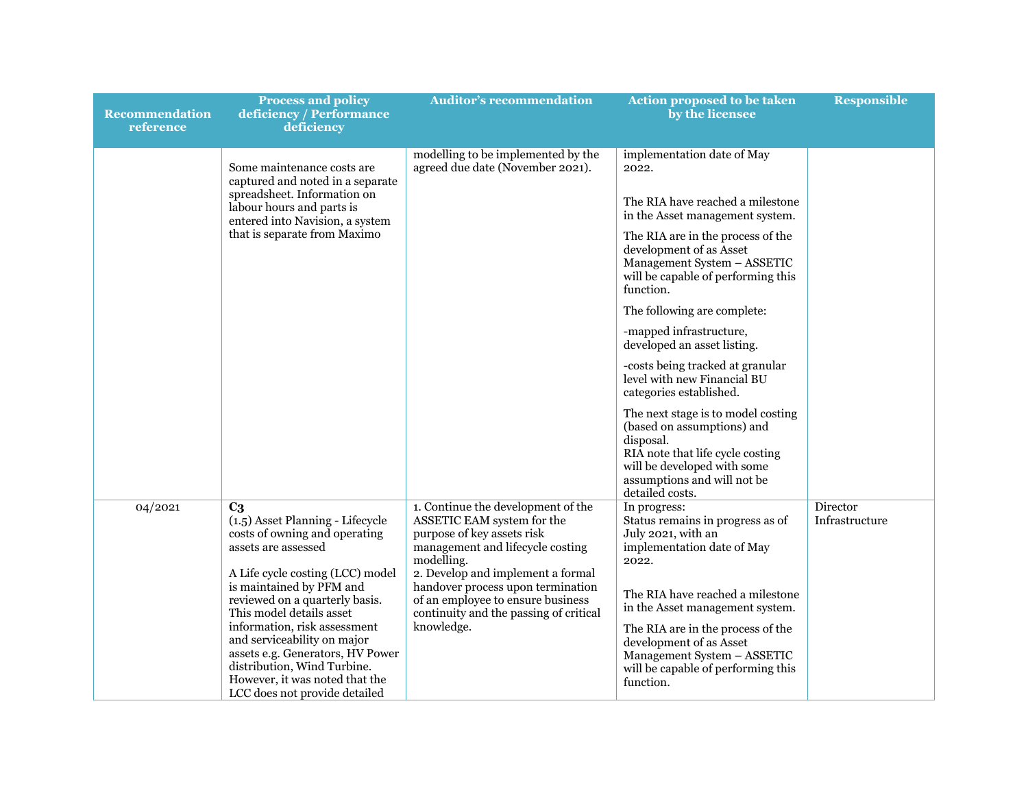| Recommendation<br>reference | <b>Process and policy</b><br>deficiency / Performance<br>deficiency                                                                                                                               | <b>Auditor's recommendation</b>                                                                                                                       | Action proposed to be taken<br>by the licensee                                                                                                                                                     | <b>Responsible</b>         |
|-----------------------------|---------------------------------------------------------------------------------------------------------------------------------------------------------------------------------------------------|-------------------------------------------------------------------------------------------------------------------------------------------------------|----------------------------------------------------------------------------------------------------------------------------------------------------------------------------------------------------|----------------------------|
|                             | Some maintenance costs are<br>captured and noted in a separate                                                                                                                                    | modelling to be implemented by the<br>agreed due date (November 2021).                                                                                | implementation date of May<br>2022.                                                                                                                                                                |                            |
|                             | spreadsheet. Information on<br>labour hours and parts is<br>entered into Navision, a system                                                                                                       |                                                                                                                                                       | The RIA have reached a milestone<br>in the Asset management system.                                                                                                                                |                            |
|                             | that is separate from Maximo                                                                                                                                                                      |                                                                                                                                                       | The RIA are in the process of the<br>development of as Asset<br>Management System - ASSETIC<br>will be capable of performing this<br>function.                                                     |                            |
|                             |                                                                                                                                                                                                   |                                                                                                                                                       | The following are complete:                                                                                                                                                                        |                            |
|                             |                                                                                                                                                                                                   |                                                                                                                                                       | -mapped infrastructure,<br>developed an asset listing.                                                                                                                                             |                            |
|                             |                                                                                                                                                                                                   |                                                                                                                                                       | -costs being tracked at granular<br>level with new Financial BU<br>categories established.                                                                                                         |                            |
|                             |                                                                                                                                                                                                   |                                                                                                                                                       | The next stage is to model costing<br>(based on assumptions) and<br>disposal.<br>RIA note that life cycle costing<br>will be developed with some<br>assumptions and will not be<br>detailed costs. |                            |
| 04/2021                     | $\overline{C_3}$<br>(1.5) Asset Planning - Lifecycle<br>costs of owning and operating<br>assets are assessed                                                                                      | 1. Continue the development of the<br>ASSETIC EAM system for the<br>purpose of key assets risk<br>management and lifecycle costing<br>modelling.      | In progress:<br>Status remains in progress as of<br>July 2021, with an<br>implementation date of May<br>2022.                                                                                      | Director<br>Infrastructure |
|                             | A Life cycle costing (LCC) model<br>is maintained by PFM and<br>reviewed on a quarterly basis.<br>This model details asset                                                                        | 2. Develop and implement a formal<br>handover process upon termination<br>of an employee to ensure business<br>continuity and the passing of critical | The RIA have reached a milestone<br>in the Asset management system.                                                                                                                                |                            |
|                             | information, risk assessment<br>and serviceability on major<br>assets e.g. Generators, HV Power<br>distribution, Wind Turbine.<br>However, it was noted that the<br>LCC does not provide detailed | knowledge.                                                                                                                                            | The RIA are in the process of the<br>development of as Asset<br>Management System - ASSETIC<br>will be capable of performing this<br>function.                                                     |                            |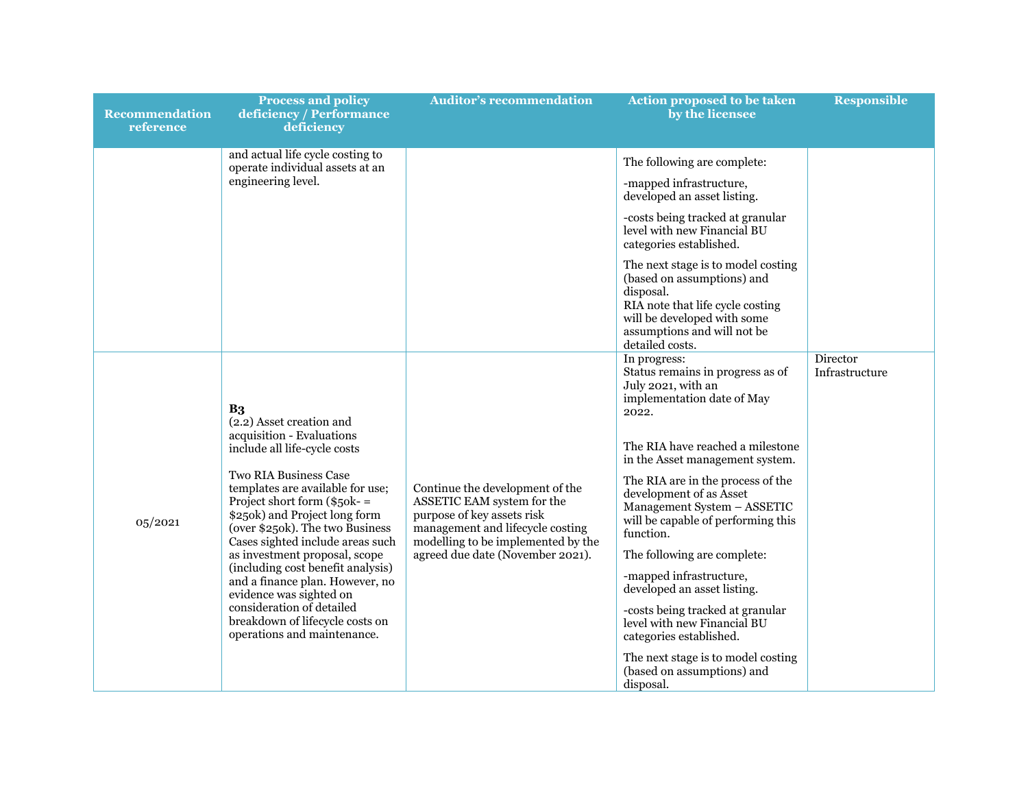| <b>Recommendation</b><br>reference | <b>Process and policy</b><br>deficiency / Performance<br>deficiency                                                                                                                                                                                                                                                                                                                                                                                                                                                                                    | <b>Auditor's recommendation</b>                                                                                                                                                                           | <b>Action proposed to be taken</b><br>by the licensee                                                                                                                                                                                                                                                                                                                                                                                                                                                                                                                                                                                                            | <b>Responsible</b>         |
|------------------------------------|--------------------------------------------------------------------------------------------------------------------------------------------------------------------------------------------------------------------------------------------------------------------------------------------------------------------------------------------------------------------------------------------------------------------------------------------------------------------------------------------------------------------------------------------------------|-----------------------------------------------------------------------------------------------------------------------------------------------------------------------------------------------------------|------------------------------------------------------------------------------------------------------------------------------------------------------------------------------------------------------------------------------------------------------------------------------------------------------------------------------------------------------------------------------------------------------------------------------------------------------------------------------------------------------------------------------------------------------------------------------------------------------------------------------------------------------------------|----------------------------|
|                                    | and actual life cycle costing to<br>operate individual assets at an<br>engineering level.                                                                                                                                                                                                                                                                                                                                                                                                                                                              |                                                                                                                                                                                                           | The following are complete:<br>-mapped infrastructure,<br>developed an asset listing.<br>-costs being tracked at granular<br>level with new Financial BU<br>categories established.<br>The next stage is to model costing<br>(based on assumptions) and<br>disposal.<br>RIA note that life cycle costing<br>will be developed with some                                                                                                                                                                                                                                                                                                                          |                            |
| 05/2021                            | B <sub>3</sub><br>(2.2) Asset creation and<br>acquisition - Evaluations<br>include all life-cycle costs<br><b>Two RIA Business Case</b><br>templates are available for use;<br>Project short form $(\$50k-$<br>\$250k) and Project long form<br>(over \$250k). The two Business<br>Cases sighted include areas such<br>as investment proposal, scope<br>(including cost benefit analysis)<br>and a finance plan. However, no<br>evidence was sighted on<br>consideration of detailed<br>breakdown of lifecycle costs on<br>operations and maintenance. | Continue the development of the<br>ASSETIC EAM system for the<br>purpose of key assets risk<br>management and lifecycle costing<br>modelling to be implemented by the<br>agreed due date (November 2021). | assumptions and will not be<br>detailed costs.<br>In progress:<br>Status remains in progress as of<br>July 2021, with an<br>implementation date of May<br>2022.<br>The RIA have reached a milestone<br>in the Asset management system.<br>The RIA are in the process of the<br>development of as Asset<br>Management System - ASSETIC<br>will be capable of performing this<br>function.<br>The following are complete:<br>-mapped infrastructure,<br>developed an asset listing.<br>-costs being tracked at granular<br>level with new Financial BU<br>categories established.<br>The next stage is to model costing<br>(based on assumptions) and<br>disposal. | Director<br>Infrastructure |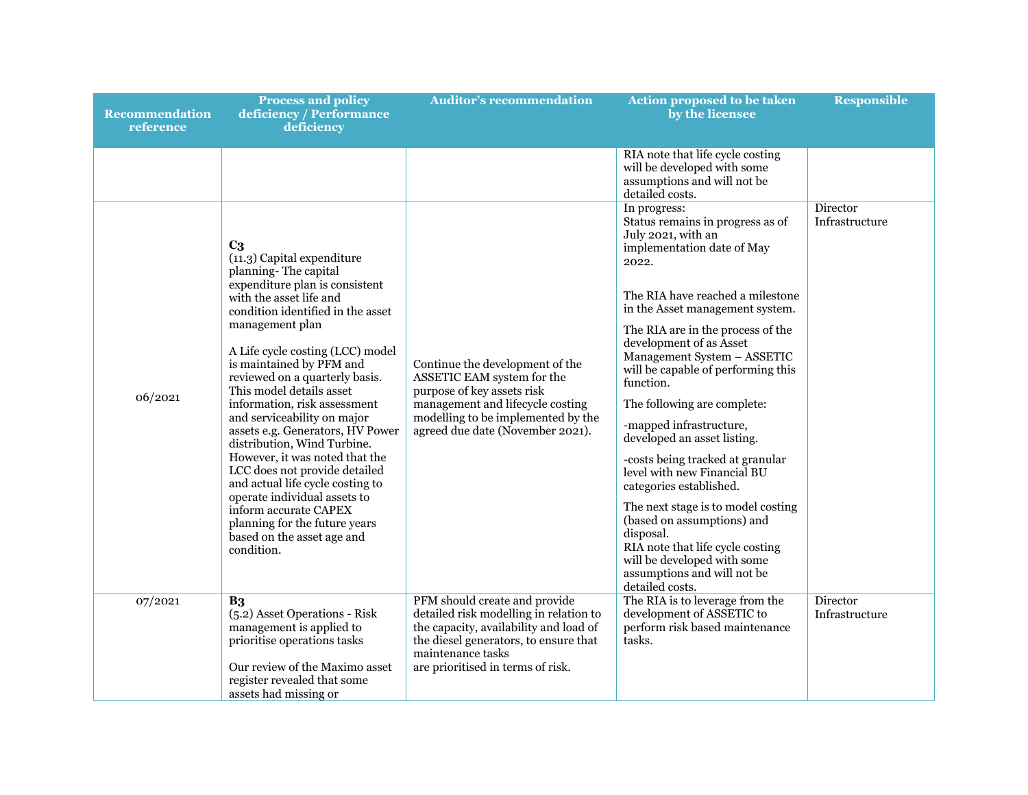| <b>Recommendation</b><br>reference | <b>Process and policy</b><br>deficiency / Performance<br>deficiency                                                                                                                                                                                                                                                                                                                                                                                                                                                                                                                                                                                                                                      | <b>Auditor's recommendation</b>                                                                                                                                                                                      | <b>Action proposed to be taken</b><br>by the licensee                                                                                                                                                                                                                                                                                                                                                                                                                                                                                                                                                                                                                                                                               | <b>Responsible</b>         |
|------------------------------------|----------------------------------------------------------------------------------------------------------------------------------------------------------------------------------------------------------------------------------------------------------------------------------------------------------------------------------------------------------------------------------------------------------------------------------------------------------------------------------------------------------------------------------------------------------------------------------------------------------------------------------------------------------------------------------------------------------|----------------------------------------------------------------------------------------------------------------------------------------------------------------------------------------------------------------------|-------------------------------------------------------------------------------------------------------------------------------------------------------------------------------------------------------------------------------------------------------------------------------------------------------------------------------------------------------------------------------------------------------------------------------------------------------------------------------------------------------------------------------------------------------------------------------------------------------------------------------------------------------------------------------------------------------------------------------------|----------------------------|
|                                    |                                                                                                                                                                                                                                                                                                                                                                                                                                                                                                                                                                                                                                                                                                          |                                                                                                                                                                                                                      | RIA note that life cycle costing<br>will be developed with some<br>assumptions and will not be<br>detailed costs.                                                                                                                                                                                                                                                                                                                                                                                                                                                                                                                                                                                                                   |                            |
| 06/2021                            | C <sub>3</sub><br>$(11.3)$ Capital expenditure<br>planning-The capital<br>expenditure plan is consistent<br>with the asset life and<br>condition identified in the asset<br>management plan<br>A Life cycle costing (LCC) model<br>is maintained by PFM and<br>reviewed on a quarterly basis.<br>This model details asset<br>information, risk assessment<br>and serviceability on major<br>assets e.g. Generators, HV Power<br>distribution, Wind Turbine.<br>However, it was noted that the<br>LCC does not provide detailed<br>and actual life cycle costing to<br>operate individual assets to<br>inform accurate CAPEX<br>planning for the future years<br>based on the asset age and<br>condition. | Continue the development of the<br>ASSETIC EAM system for the<br>purpose of key assets risk<br>management and lifecycle costing<br>modelling to be implemented by the<br>agreed due date (November 2021).            | In progress:<br>Status remains in progress as of<br>July 2021, with an<br>implementation date of May<br>2022.<br>The RIA have reached a milestone<br>in the Asset management system.<br>The RIA are in the process of the<br>development of as Asset<br>Management System - ASSETIC<br>will be capable of performing this<br>function.<br>The following are complete:<br>-mapped infrastructure,<br>developed an asset listing.<br>-costs being tracked at granular<br>level with new Financial BU<br>categories established.<br>The next stage is to model costing<br>(based on assumptions) and<br>disposal.<br>RIA note that life cycle costing<br>will be developed with some<br>assumptions and will not be<br>detailed costs. | Director<br>Infrastructure |
| 07/2021                            | B <sub>3</sub><br>(5.2) Asset Operations - Risk<br>management is applied to<br>prioritise operations tasks<br>Our review of the Maximo asset<br>register revealed that some<br>assets had missing or                                                                                                                                                                                                                                                                                                                                                                                                                                                                                                     | PFM should create and provide<br>detailed risk modelling in relation to<br>the capacity, availability and load of<br>the diesel generators, to ensure that<br>maintenance tasks<br>are prioritised in terms of risk. | The RIA is to leverage from the<br>development of ASSETIC to<br>perform risk based maintenance<br>tasks.                                                                                                                                                                                                                                                                                                                                                                                                                                                                                                                                                                                                                            | Director<br>Infrastructure |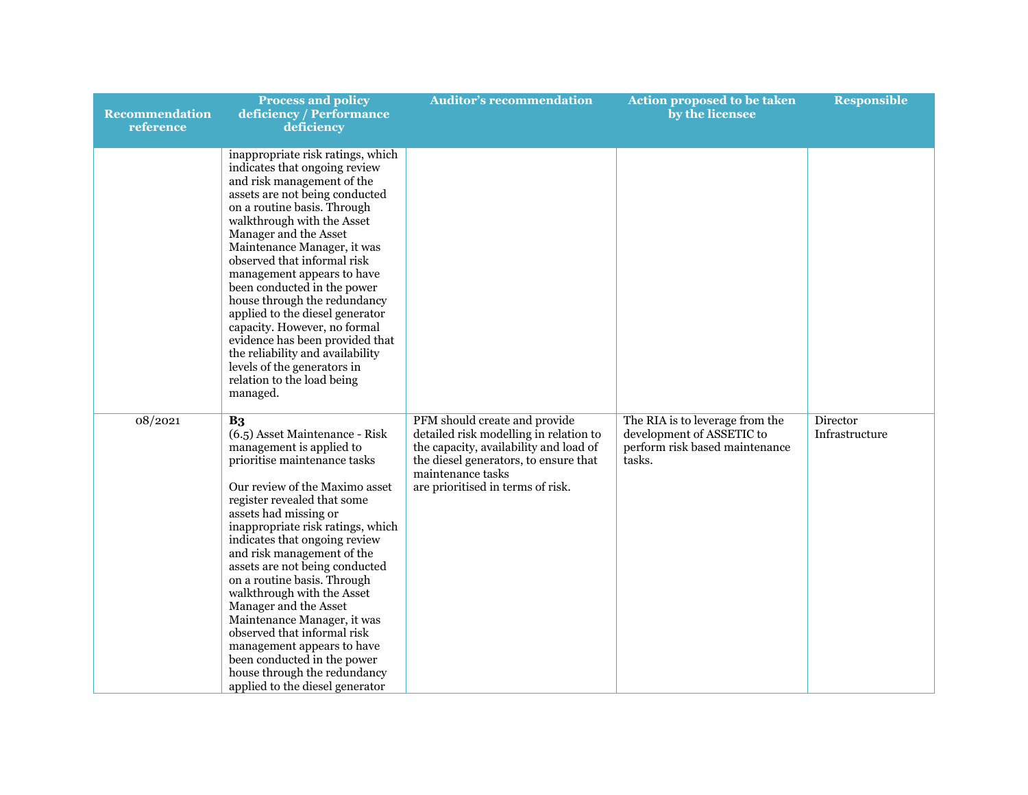| <b>Recommendation</b><br>reference | <b>Process and policy</b><br>deficiency / Performance<br>deficiency                                                                                                                                                                                                                                                                                                                                                                                                                                                                                                                                                              | <b>Auditor's recommendation</b>                                                                                                                                                                                      | <b>Action proposed to be taken</b><br>by the licensee                                                    | <b>Responsible</b>         |
|------------------------------------|----------------------------------------------------------------------------------------------------------------------------------------------------------------------------------------------------------------------------------------------------------------------------------------------------------------------------------------------------------------------------------------------------------------------------------------------------------------------------------------------------------------------------------------------------------------------------------------------------------------------------------|----------------------------------------------------------------------------------------------------------------------------------------------------------------------------------------------------------------------|----------------------------------------------------------------------------------------------------------|----------------------------|
|                                    | inappropriate risk ratings, which<br>indicates that ongoing review<br>and risk management of the<br>assets are not being conducted<br>on a routine basis. Through<br>walkthrough with the Asset<br>Manager and the Asset<br>Maintenance Manager, it was<br>observed that informal risk<br>management appears to have<br>been conducted in the power<br>house through the redundancy<br>applied to the diesel generator<br>capacity. However, no formal<br>evidence has been provided that<br>the reliability and availability<br>levels of the generators in<br>relation to the load being<br>managed.                           |                                                                                                                                                                                                                      |                                                                                                          |                            |
| 08/2021                            | B <sub>3</sub><br>(6.5) Asset Maintenance - Risk<br>management is applied to<br>prioritise maintenance tasks<br>Our review of the Maximo asset<br>register revealed that some<br>assets had missing or<br>inappropriate risk ratings, which<br>indicates that ongoing review<br>and risk management of the<br>assets are not being conducted<br>on a routine basis. Through<br>walkthrough with the Asset<br>Manager and the Asset<br>Maintenance Manager, it was<br>observed that informal risk<br>management appears to have<br>been conducted in the power<br>house through the redundancy<br>applied to the diesel generator | PFM should create and provide<br>detailed risk modelling in relation to<br>the capacity, availability and load of<br>the diesel generators, to ensure that<br>maintenance tasks<br>are prioritised in terms of risk. | The RIA is to leverage from the<br>development of ASSETIC to<br>perform risk based maintenance<br>tasks. | Director<br>Infrastructure |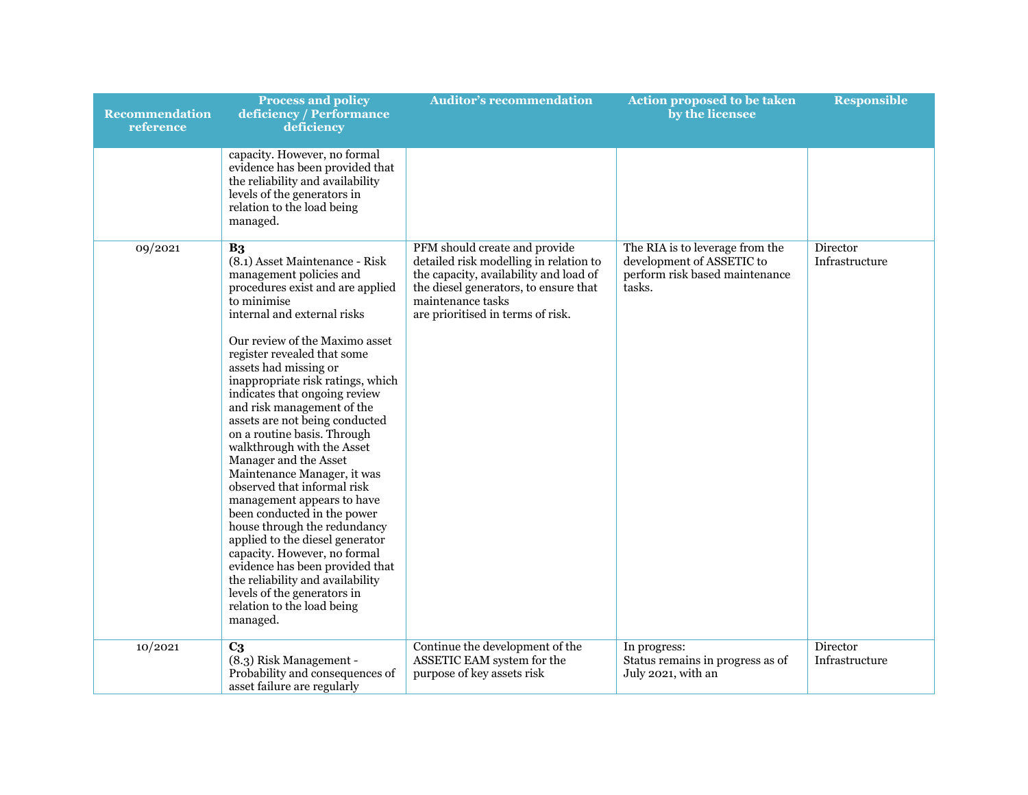| <b>Recommendation</b><br>reference | <b>Process and policy</b><br>deficiency / Performance<br>deficiency                                                                                                                                                                                                                                                                                                                                                                                                                                                                                                                                                                                                                                                                                                                                                                                               | <b>Auditor's recommendation</b>                                                                                                                                                                                      | Action proposed to be taken<br>by the licensee                                                           | <b>Responsible</b>         |
|------------------------------------|-------------------------------------------------------------------------------------------------------------------------------------------------------------------------------------------------------------------------------------------------------------------------------------------------------------------------------------------------------------------------------------------------------------------------------------------------------------------------------------------------------------------------------------------------------------------------------------------------------------------------------------------------------------------------------------------------------------------------------------------------------------------------------------------------------------------------------------------------------------------|----------------------------------------------------------------------------------------------------------------------------------------------------------------------------------------------------------------------|----------------------------------------------------------------------------------------------------------|----------------------------|
|                                    | capacity. However, no formal<br>evidence has been provided that<br>the reliability and availability<br>levels of the generators in<br>relation to the load being<br>managed.                                                                                                                                                                                                                                                                                                                                                                                                                                                                                                                                                                                                                                                                                      |                                                                                                                                                                                                                      |                                                                                                          |                            |
| 09/2021                            | B <sub>3</sub><br>(8.1) Asset Maintenance - Risk<br>management policies and<br>procedures exist and are applied<br>to minimise<br>internal and external risks<br>Our review of the Maximo asset<br>register revealed that some<br>assets had missing or<br>inappropriate risk ratings, which<br>indicates that ongoing review<br>and risk management of the<br>assets are not being conducted<br>on a routine basis. Through<br>walkthrough with the Asset<br>Manager and the Asset<br>Maintenance Manager, it was<br>observed that informal risk<br>management appears to have<br>been conducted in the power<br>house through the redundancy<br>applied to the diesel generator<br>capacity. However, no formal<br>evidence has been provided that<br>the reliability and availability<br>levels of the generators in<br>relation to the load being<br>managed. | PFM should create and provide<br>detailed risk modelling in relation to<br>the capacity, availability and load of<br>the diesel generators, to ensure that<br>maintenance tasks<br>are prioritised in terms of risk. | The RIA is to leverage from the<br>development of ASSETIC to<br>perform risk based maintenance<br>tasks. | Director<br>Infrastructure |
| 10/2021                            | C <sub>3</sub><br>(8.3) Risk Management -<br>Probability and consequences of<br>asset failure are regularly                                                                                                                                                                                                                                                                                                                                                                                                                                                                                                                                                                                                                                                                                                                                                       | Continue the development of the<br>ASSETIC EAM system for the<br>purpose of key assets risk                                                                                                                          | In progress:<br>Status remains in progress as of<br>July 2021, with an                                   | Director<br>Infrastructure |